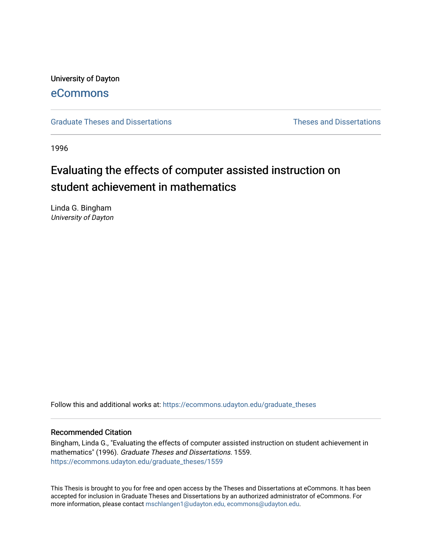University of Dayton [eCommons](https://ecommons.udayton.edu/)

[Graduate Theses and Dissertations](https://ecommons.udayton.edu/graduate_theses) **Theses and Dissertations** Theses and Dissertations

1996

# Evaluating the effects of computer assisted instruction on student achievement in mathematics

Linda G. Bingham University of Dayton

Follow this and additional works at: [https://ecommons.udayton.edu/graduate\\_theses](https://ecommons.udayton.edu/graduate_theses?utm_source=ecommons.udayton.edu%2Fgraduate_theses%2F1559&utm_medium=PDF&utm_campaign=PDFCoverPages)

#### Recommended Citation

Bingham, Linda G., "Evaluating the effects of computer assisted instruction on student achievement in mathematics" (1996). Graduate Theses and Dissertations. 1559. [https://ecommons.udayton.edu/graduate\\_theses/1559](https://ecommons.udayton.edu/graduate_theses/1559?utm_source=ecommons.udayton.edu%2Fgraduate_theses%2F1559&utm_medium=PDF&utm_campaign=PDFCoverPages)

This Thesis is brought to you for free and open access by the Theses and Dissertations at eCommons. It has been accepted for inclusion in Graduate Theses and Dissertations by an authorized administrator of eCommons. For more information, please contact [mschlangen1@udayton.edu, ecommons@udayton.edu](mailto:mschlangen1@udayton.edu,%20ecommons@udayton.edu).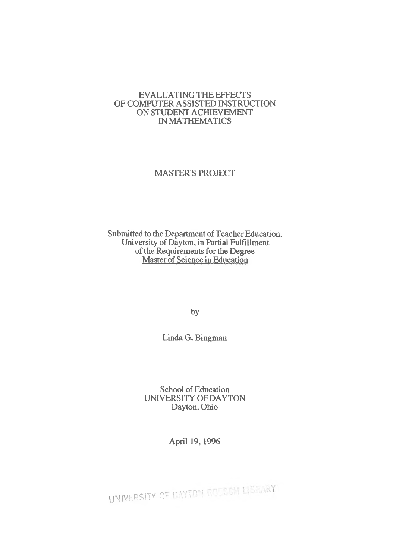#### EVALUATINGTHE EFFECTS OF COMPUTER ASSISTED INSTRUCTION ON STUDENT ACHIEVEMENT INMATHEMATICS

# MASTER'S PROJECT

Submitted to the Department of Teacher Education, University of Dayton, in Partial Fulfillment of the Requirements for the Degree Master of Science in Education

by

Linda G. Bingman

School of Education UNIVERSITY OFDAYTON Dayton, Ohio

April 19,1996

UNIVERSITY OF DAYTOM ROESON LISSINGY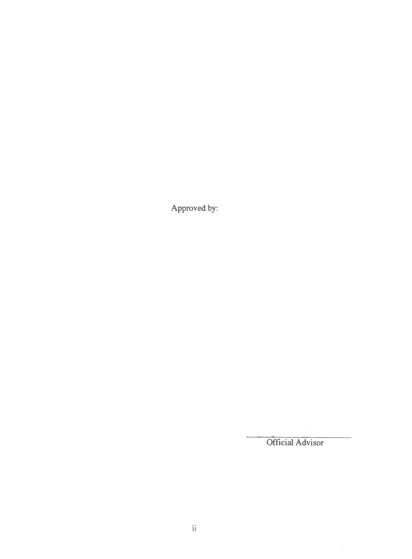Approved by:

Official Advisor

 $\langle \sigma \rangle$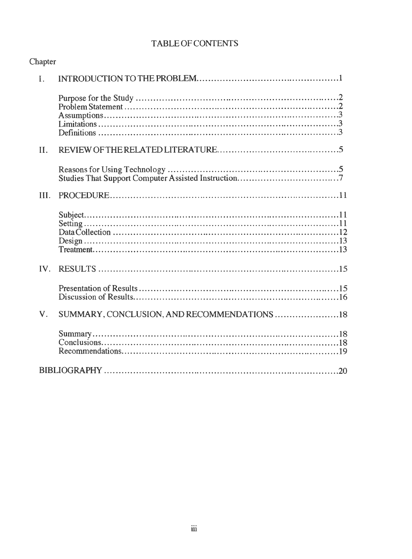# TABLE OF CONTENTS

| Chapter        |                                             |
|----------------|---------------------------------------------|
| $\mathbf{I}$ . |                                             |
|                |                                             |
| II.            |                                             |
|                |                                             |
| III.           |                                             |
|                |                                             |
|                |                                             |
|                |                                             |
| V.             | SUMMARY, CONCLUSION, AND RECOMMENDATIONS 18 |
|                |                                             |
|                |                                             |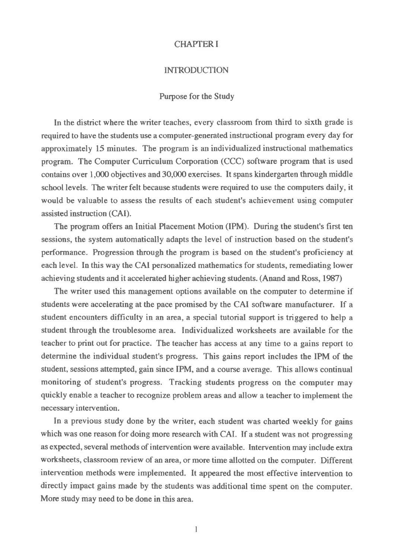# CHAPTER I

#### INTRODUCTION

#### Purpose for the Study

In the district where the writer teaches, every classroom from third to sixth grade is required to have the students use a computer-generated instructional program every day for approximately 15 minutes. The program is an individualized instructional mathematics program. The Computer Curriculum Corporation (CCC) software program that is used contains over 1,000 objectives and 30,000 exercises. It spans kindergarten through middle school levels. The writer felt because students were required to use the computers daily, it would be valuable to assess the results of each student's achievement using computer assisted instruction (CAI).

The program offers an Initial Placement Motion (IPM). During the student's first ten sessions, the system automatically adapts the level of instruction based on the student's performance. Progression through the program is based on the student's proficiency at each level. In this way the CAI personalized mathematics for students, remediating lower achieving students and it accelerated higher achieving students. (Anand and Ross, 1987)

The writer used this management options available on the computer to determine if students were accelerating at the pace promised by the CAI software manufacturer. If a student encounters difficulty in an area, a special tutorial support is triggered to help a student through the troublesome area. Individualized worksheets are available for the teacher to print out for practice. The teacher has access at any time to a gains report to determine the individual student's progress. This gains report includes the IPM of the student, sessions attempted, gain since IPM, and a course average. This allows continual monitoring of student's progress. Tracking students progress on the computer may quickly enable a teacher to recognize problem areas and allow a teacher to implement the necessary intervention.

In a previous study done by the writer, each student was charted weekly for gains which was one reason for doing more research with CAI. If a student was not progressing as expected, several methods of intervention were available. Intervention may include extra worksheets, classroom review of an area, or more time allotted on the computer. Different intervention methods were implemented. It appeared the most effective intervention to directly impact gains made by the students was additional time spent on the computer. More study may need to be done in this area.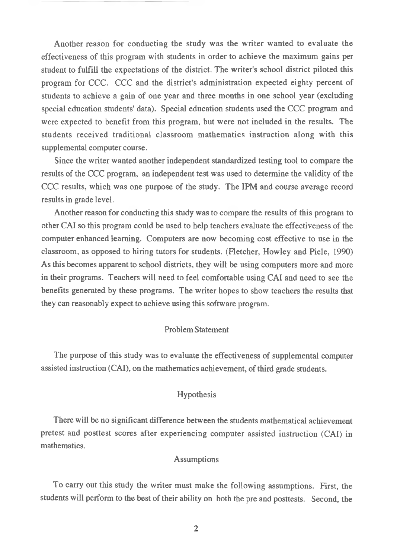Another reason for conducting the study was the writer wanted to evaluate the effectiveness of this program with students in order to achieve the maximum gains per student to fulfill the expectations of the district. The writer's school district piloted this program for CCC. CCC and the district's administration expected eighty percent of students to achieve a gain of one year and three months in one school year (excluding special education students' data). Special education students used the CCC program and were expected to benefit from this program, but were not included in the results. The students received traditional classroom mathematics instruction along with this supplemental computer course.

Since the writer wanted another independent standardized testing tool to compare the results of the CCC program, an independent test was used to determine the validity of the CCC results, which was one purpose of the study. The IPM and course average record results in grade level.

Another reason for conducting this study was to compare the results of this program to other CAI so this program could be used to help teachers evaluate the effectiveness of the computer enhanced learning. Computers are now becoming cost effective to use in the classroom, as opposed to hiring tutors for students. (Fletcher, Howley and Piele, 1990) As this becomes apparent to school districts, they will be using computers more and more in their programs. Teachers will need to feel comfortable using CAI and need to see the benefits generated by these programs. The writer hopes to show teachers the results that they can reasonably expect to achieve using this software program.

## ProblemStatement

The purpose of this study was to evaluate the effectiveness of supplemental computer assisted instruction (CAI), on the mathematics achievement, of third grade students.

# Hypothesis

There will be no significant difference between the students mathematical achievement pretest and posttest scores after experiencing computer assisted instruction (CAI) in mathematics.

# **Assumptions**

To carry out this study the writer must make the following assumptions. First, the students will perform to the best of their ability on both the pre and posttests. Second, the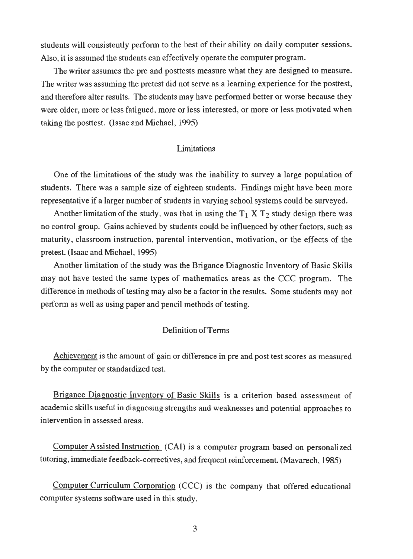students will consistently perform to the best of their ability on daily computer sessions. Also, it is assumed the students can effectively operate the computer program.

The writer assumes the pre and posttests measure what they are designed to measure. The writer was assuming the pretest did not serve as a learning experience for the posttest, and therefore alter results. The students may have performed better or worse because they were older, more or less fatigued, more or less interested, or more or less motivated when taking the posttest. (Issac and Michael, 1995)

## Limitations

One of the limitations of the study was the inability to survey a large population of students. There was a sample size of eighteen students. Findings might have been more representative if a larger number of students in varying school systems could be surveyed.

Another limitation of the study, was that in using the  $T_1$  X  $T_2$  study design there was no control group. Gains achieved by students could be influenced by other factors, such as maturity, classroom instruction, parental intervention, motivation, or the effects of the pretest. (Isaac and Michael, 1995)

Another limitation of the study was the Brigance Diagnostic Inventory of Basic Skills may not have tested the same types of mathematics areas as the CCC program. The difference in methods of testing may also be a factor in the results. Some students may not perform as well as using paper and pencil methods of testing.

#### Definition of Terms

Achievement is the amount of gain or difference in pre and post test scores as measured by the computer or standardized test.

Brigance Diagnostic Inventory of Basic Skills is a criterion based assessment of academic skills useful in diagnosing strengths and weaknesses and potential approaches to intervention in assessed areas.

Computer Assisted Instruction (CAI) is a computer program based on personalized tutoring, immediate feedback-correctives, and frequent reinforcement. (Mavarech, 1985)

Computer Curriculum Corporation (CCC) is the company that offered educational computer systems software used in this study.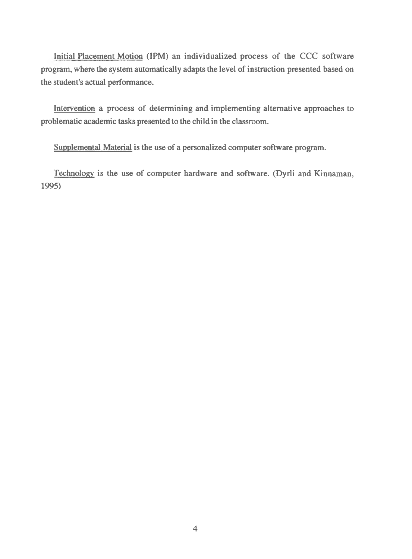Initial Placement Motion (IPM) an individualized process of the CCC software program, where the system automatically adapts the level of instruction presented based on the student's actual performance.

Intervention a process of determining and implementing alternative approaches to problematic academic tasks presented to the child in the classroom.

Supplemental Material is the use of a personalized computer software program.

Technology is the use of computer hardware and software. (Dyrli and Kinnaman, 1995)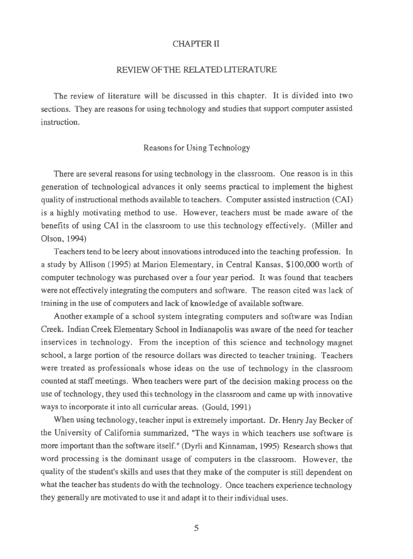#### CHAPTER II

#### REVIEWOFTHE RELATEDLITERATURE

The review of literature will be discussed in this chapter. It is divided into two sections. They are reasons for using technology and studies that support computer assisted instruction.

#### Reasons for Using Technology

There are several reasons for using technology in the classroom. One reason is in this generation of technological advances it only seems practical to implement the highest quality of instructional methods available to teachers. Computer assisted instruction (CAI) is a highly motivating method to use. However, teachers must be made aware of the benefits of using CAI in the classroom to use this technology effectively. (Miller and Olson, 1994)

Teachers tend to be leery about innovations introduced into the teaching profession. In a study by Allison (1995) at Marion Elementary, in Central Kansas, \$100,000 worth of computer technology was purchased over a four year period. It was found that teachers were not effectively integrating the computers and software. The reason cited was lack of training in the use of computers and lack of knowledge of available software.

Another example of a school system integrating computers and software was Indian Creek. Indian Creek Elementary School in Indianapolis was aware of the need for teacher inservices in technology. From the inception of this science and technology magnet school, a large portion of the resource dollars was directed to teacher training. Teachers were treated as professionals whose ideas on the use of technology in the classroom counted at staffmeetings. When teachers were part of the decision making process on the use of technology, they used this technology in the classroom and came up with innovative waysto incorporate it into all curricular areas. (Gould, 1991)

When using technology, teacher input is extremely important. Dr. Henry Jay Becker of the University of California summarized, "The ways in which teachers use software is more important than the software itself." (Dyrli and Kinnaman, 1995) Research shows that word processing is the dominant usage of computers in the classroom. However, the quality of the student's skills and uses that they make of the computer is still dependent on what the teacher has students do with the technology. Once teachers experience technology they generally are motivated to use it and adapt it to their individual uses.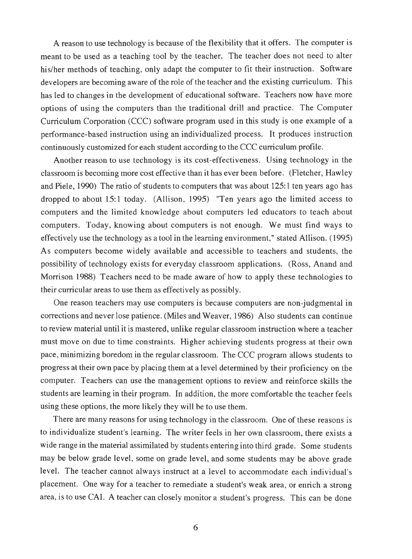A reason to use technology is because of the flexibility that it offers. The computer is meant to be used as a teaching tool by the teacher. The teacher does not need to alter his/her methods of teaching, only adapt the computer to fit their instruction. Software developers are becoming aware of the role of the teacher and the existing curriculum. This has led to changes in the development of educational software. Teachers now have more options of using the computers than the traditional drill and practice. The Computer Curriculum Corporation (CCC) software program used in this study is one example of a performance-based instruction using an individualized process. It produces instruction continuously customized for each student according to the CCC curriculum profile.

Another reason to use technology is its cost-effectiveness. Using technology in the classroom is becoming more cost effective than it has ever been before. (Fletcher, Hawley and Piele, 1990) The ratio of students to computers that was about 125:1 ten years ago has dropped to about 15:1 today. (Allison, 1995) "Ten years ago the limited access to computers and the limited knowledge about computers led educators to teach about computers. Today, knowing about computers is not enough. We must find ways to effectively use the technology as a tool in the learning environment," stated Allison. (1995) As computers become widely available and accessible to teachers and students, the possibility of technology exists for everyday classroom applications. (Ross, Anand and Morrison 1988) Teachers need to be made aware of how to apply these technologies to their curricular areas to use them as effectively as possibly.

One reason teachers may use computers is because computers are non-judgmental in corrections and never lose patience. (Miles and Weaver, 1986) Also students can continue to review material until it is mastered, unlike regular classroom instruction where a teacher must move on due to time constraints. Higher achieving students progress at their own pace, minimizing boredom in the regular classroom. The CCC program allows students to progress at their own pace by placing them at a level determined by their proficiency on the computer. Teachers can use the management options to review and reinforce skills the students are learning in their program. In addition, the more comfortable the teacher feels using these options, the more likely they will be to use them.

There are many reasons for using technology in the classroom. One of these reasons is to individualize student's learning. The writer feels in her own classroom, there exists a wide range in the material assimilated by students entering into third grade. Some students may be below grade level, some on grade level, and some students may be above grade level. The teacher cannot always instruct at a level to accommodate each individual's placement. One way for a teacher to remediate a student's weak area, or enrich a strong area, is to use CAI. A teacher can closely monitor a student's progress. This can be done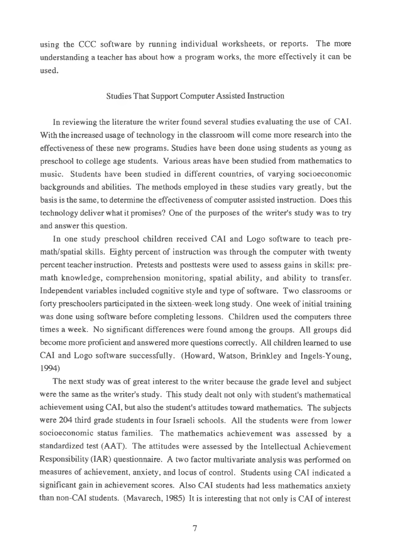using the CCC software by running individual worksheets, or reports. The more understanding a teacher has about how a program works, the more effectively it can be used.

#### Studies That Support Computer Assisted Instruction

In reviewing the literature the writer found several studies evaluating the use of CAI. With the increased usage of technology in the classroom will come more research into the effectiveness of these new programs. Studies have been done using students as young as preschool to college age students. Various areas have been studied from mathematics to music. Students have been studied in different countries, of varying socioeconomic backgrounds and abilities. The methods employed in these studies vary greatly, but the basis is the same, to determine the effectiveness of computer assisted instruction. Does this technology deliver what it promises? One of the purposes of the writer's study was to try and answer this question.

In one study preschool children received CAI and Logo software to teach premath/spatial skills. Eighty percent of instruction was through the computer with twenty percent teacherinstruction. Pretests and posttests were used to assess gains in skills: premath knowledge, comprehension monitoring, spatial ability, and ability to transfer. Independent variables included cognitive style and type of software. Two classrooms or forty preschoolers participated in the sixteen-week long study. One week of initial training was done using software before completing lessons. Children used the computers three times a week. No significant differences were found among the groups. All groups did become more proficient and answered more questions correctly. All children learned to use CAI and Logo software successfully. (Howard, Watson, Brinkley and Ingels-Young, 1994)

The next study was of great interest to the writer because the grade level and subject were the same as the writer's study. This study dealt not only with student's mathematical achievement using CAI, but also the student's attitudes toward mathematics. The subjects were 204 third grade students in four Israeli schools. All the students were from lower socioeconomic status families. The mathematics achievement was assessed by a standardized test (AAT). The attitudes were assessed by the Intellectual Achievement Responsibility (IAR) questionnaire. A two factor multivariate analysis was performed on measures of achievement, anxiety, and locus of control. Students using CAI indicated a significant gain in achievement scores. Also CAI students had less mathematics anxiety than non-CAI students. (Mavarech, 1985) It is interesting that not only is CAI of interest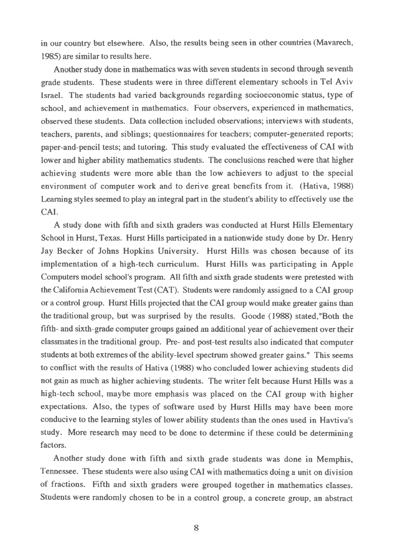in our country but elsewhere. Also, the results being seen in other countries (Mavarech, 1985) are similar to results here.

Another study done in mathematics was with seven students in second through seventh grade students. These students were in three different elementary schools in Tel Aviv Israel. The students had varied backgrounds regarding socioeconomic status, type of school, and achievement in mathematics. Four observers, experienced in mathematics, observed these students. Data collection included observations; interviews with students, teachers, parents, and siblings; questionnaires for teachers; computer-generated reports; paper-and-pencil tests; and tutoring. This study evaluated the effectiveness of CAI with lower and higher ability mathematics students. The conclusions reached were that higher achieving students were more able than the low achievers to adjust to the special environment of computer work and to derive great benefits from it. (Hativa, 1988) Learning styles seemed to play an integral part in the student's ability to effectively use the CAI.

A study done with fifth and sixth graders was conducted at Hurst Hills Elementary School in Hurst, Texas. Hurst Hills participated in a nationwide study done by Dr. Henry Jay Becker of Johns Hopkins University. Hurst Hills was chosen because of its implementation of a high-tech curriculum. Hurst Hills was participating in Apple Computers model school's program. All fifth and sixth grade students were pretested with the California Achievement Test (CAT). Students were randomly assigned to a CAI group or a control group. Hurst Hills projected that the CAI group would make greater gains than the traditional group, but was surprised by the results. Goode (1988) stated,"Both the fifth- and sixth-grade computer groups gained an additional year of achievement over their classmatesin the traditional group. Pre- and post-test results also indicated that computer students at both extremes of the ability-level spectrum showed greater gains." This seems to conflict with the results of Hativa (1988) who concluded lower achieving students did not gain as much as higher achieving students. The writer felt because Hurst Hills was a high-tech school, maybe more emphasis was placed on the CAI group with higher expectations. Also, the types of software used by Hurst Hills may have been more conducive to the learning styles of lower ability students than the ones used in Havtiva's study. More research may need to be done to determine if these could be determining factors.

Another study done with fifth and sixth grade students was done in Memphis, Tennessee. These students were also using CAI with mathematics doing a unit on division of fractions. Fifth and sixth graders were grouped together in mathematics classes. Students were randomly chosen to be in a control group, a concrete group, an abstract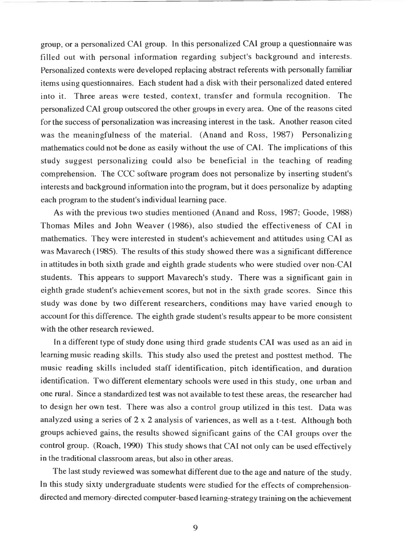group, or a personalized CAI group. In this personalized CAI group a questionnaire was filled out with personal information regarding subject's background and interests. Personalized contexts were developed replacing abstract referents with personally familiar items using questionnaires. Each student had a disk with their personalized dated entered into it. Three areas were tested, context, transfer and formula recognition. The personalized CAI group outscored the other groups in every area. One of the reasons cited for the success of personalization was increasing interest in the task. Another reason cited was the meaningfulness of the material. (Anand and Ross, 1987) Personalizing mathematics could not be done as easily without the use of CAI. The implications of this study suggest personalizing could also be beneficial in the teaching of reading comprehension. The CCC software program does not personalize by inserting student's interests and background information into the program, but it does personalize by adapting each program to the student's individual learning pace.

As with the previous two studies mentioned (Anand and Ross, 1987; Goode, 1988) Thomas Miles and John Weaver (1986), also studied the effectiveness of CAI in mathematics. They were interested in student's achievement and attitudes using CAI as was Mavarech (1985). The results of this study showed there was a significant difference in attitudes in both sixth grade and eighth grade students who were studied over non-CAI students. This appears to support Mavarech's study. There was a significant gain in eighth grade student's achievement scores, but not in the sixth grade scores. Since this study was done by two different researchers, conditions may have varied enough to account for this difference. The eighth grade student's results appear to be more consistent with the other research reviewed.

In a different type of study done using third grade students CAI was used as an aid in learning music reading skills. This study also used the pretest and posttest method. The music reading skills included staff identification, pitch identification, and duration identification. Two different elementary schools were used in this study, one urban and one rural. Since a standardized test was not available to test these areas, the researcher had to design her own test. There was also a control group utilized in this test. Data was analyzed using a series of 2 x 2 analysis of variences, as well as a t-test. Although both groups achieved gains, the results showed significant gains of the CAI groups over the control group. (Roach, 1990) This study shows that CAI not only can be used effectively in the traditional classroom areas, but also in other areas.

The last study reviewed was somewhat different due to the age and nature of the study. In this study sixty undergraduate students were studied for the effects of comprehensiondirected and memory-directed computer-based learning-strategy training on the achievement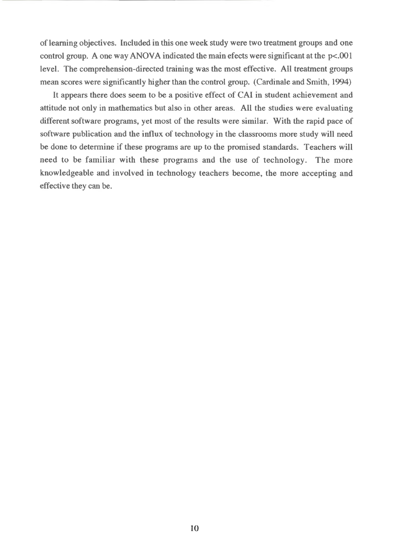of learning objectives. Included in this one week study were two treatment groups and one control group. A one way ANOVA indicated the main efects were significant at the  $p<.001$ level. The comprehension-directed training was the most effective. All treatment groups mean scores were significantly higher than the control group. (Cardinale and Smith, 1994)

It appears there does seem to be a positive effect of CAI in student achievement and attitude not only in mathematics but also in other areas. All the studies were evaluating different software programs, yet most of the results were similar. With the rapid pace of software publication and the influx of technology in the classrooms more study will need be done to determine if these programs are up to the promised standards. Teachers will need to be familiar with these programs and the use of technology. The more knowledgeable and involved in technology teachers become, the more accepting and effective they can be.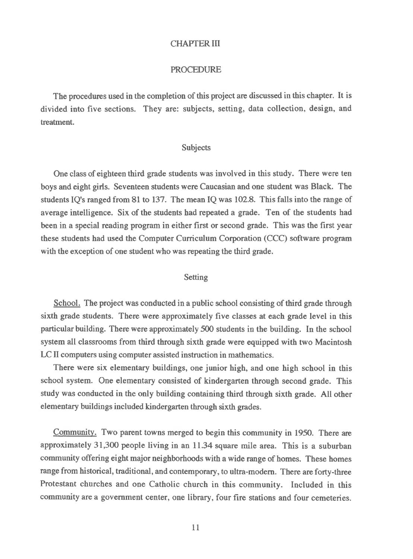#### CHAPTER III

#### PROCEDURE

The procedures used in the completion of this project are discussed in this chapter. It is divided into five sections. They are: subjects, setting, data collection, design, and treatment.

#### Subjects

One class of eighteen third grade students was involved in this study. There were ten boys and eight girls. Seventeen students were Caucasian and one student was Black. The students IQ's ranged from 81 to 137. The mean IQ was 102.8. This falls into the range of average intelligence. Six of the students had repeated a grade. Ten of the students had been in a special reading program in either first or second grade. This was the first year these students had used the Computer Curriculum Corporation (CCC) software program with the exception of one student who was repeating the third grade.

#### Setting

School. The project was conducted in a public school consisting of third grade through sixth grade students. There were approximately five classes at each grade level in this particular building. There were approximately 500 students in the building. In the school system all classrooms from third through sixth grade were equipped with two Macintosh LCII computers using computer assisted instruction in mathematics.

There were six elementary buildings, one junior high, and one high school in this school system. One elementary consisted of kindergarten through second grade. This study was conducted in the only building containing third through sixth grade. All other elementary buildings included kindergarten through sixth grades.

Community. Two parent towns merged to begin this community in 1950. There are approximately 31,300 people living in an 11.34 square mile area. This is a suburban community offering eight major neighborhoods with a wide range of homes. These homes range from historical, traditional, and contemporary, to ultra-modem. There are forty-three Protestant churches and one Catholic church in this community. Included in this community are a government center, one library, four fire stations and four cemeteries.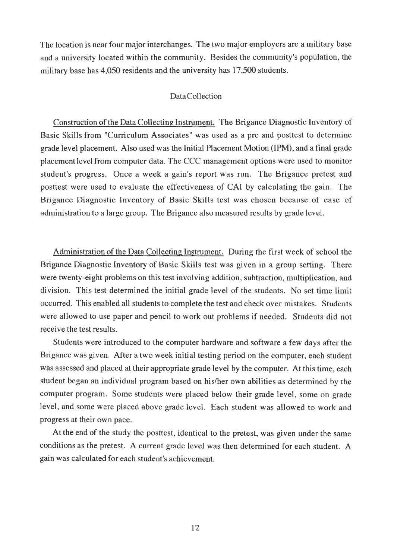The location is near four major interchanges. The two major employers are a military base and a university located within the community. Besides the community's population, the military base has 4,050 residents and the university has 17,500 students.

# DataCollection

Construction of the Data Collecting Instrument. The Brigance Diagnostic Inventory of Basic Skills from "Curriculum Associates" was used as a pre and posttest to determine grade level placement. Also used was the Initial Placement Motion (IPM), and a final grade placementlevel from computer data. The CCC management options were used to monitor student's progress. Once a week a gain's report was run. The Brigance pretest and posttest were used to evaluate the effectiveness of CAI by calculating the gain. The Brigance Diagnostic Inventory of Basic Skills test was chosen because of ease of administration to a large group. The Brigance also measured results by grade level.

Administration of the Data Collecting Instrument. During the first week of school the Brigance Diagnostic Inventory of Basic Skills test was given in a group setting. There were twenty-eight problems on this test involving addition, subtraction, multiplication, and division. This test determined the initial grade level of the students. No set time limit occurred. This enabled all students to complete the test and check over mistakes. Students were allowed to use paper and pencil to work out problems if needed. Students did not receive the test results.

Students were introduced to the computer hardware and software a few days after the Brigance was given. After a two week initial testing period on the computer, each student was assessed and placed at their appropriate grade level by the computer. At this time, each student began an individual program based on his/her own abilities as determined by the computer program. Some students were placed below their grade level, some on grade level, and some were placed above grade level. Each student was allowed to work and progress at their own pace.

At the end of the study the posttest, identical to the pretest, was given under the same conditions as the pretest. A current grade level was then determined for each student. A gain was calculated for each student's achievement.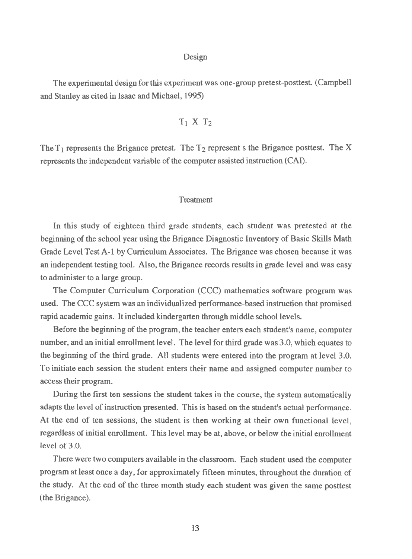#### Design

The experimental design forthis experiment was one-group pretest-posttest. (Campbell and Stanley as cited in Isaac and Michael, 1995)

$$
T_1 \ X \ T_2
$$

The  $T_1$  represents the Brigance pretest. The  $T_2$  represent s the Brigance posttest. The X represents the independent variable of the computer assisted instruction (CAI).

#### Treatment

In this study of eighteen third grade students, each student was pretested at the beginning of the school year using the Brigance Diagnostic Inventory of Basic Skills Math Grade Level Test A-l by Curriculum Associates. The Brigance was chosen because it was an independent testing tool. Also, the Brigance records results in grade level and was easy to administer to a large group.

The Computer Curriculum Corporation (CCC) mathematics software program was used. The CCC system was an individualized performance-based instruction that promised rapid academic gains. It included kindergarten through middle school levels.

Before the beginning of the program, the teacher enters each student's name, computer number, and an initial enrollment level. The level for third grade was 3.0, which equates to the beginning of the third grade. All students were entered into the program at level 3.0. To initiate each session the student enters their name and assigned computer number to accesstheir program.

During the first ten sessions the student takes in the course, the system automatically adapts the level of instruction presented. This is based on the student's actual performance. At the end of ten sessions, the student is then working at their own functional level, regardless of initial enrollment. This level may be at, above, or below the initial enrollment level of 3.0.

There were two computers available in the classroom. Each student used the computer program at least once a day, for approximately fifteen minutes, throughout the duration of the study. At the end of the three month study each student was given the same posttest (the Brigance).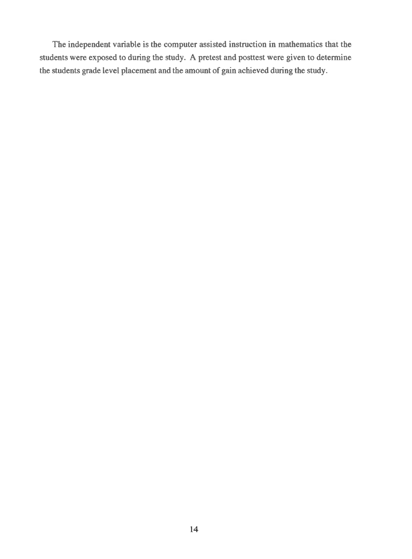The independent variable is the computer assisted instruction in mathematics that the students were exposed to during the study. A pretest and posttest were given to determine the students grade level placement and the amount of gain achieved during the study.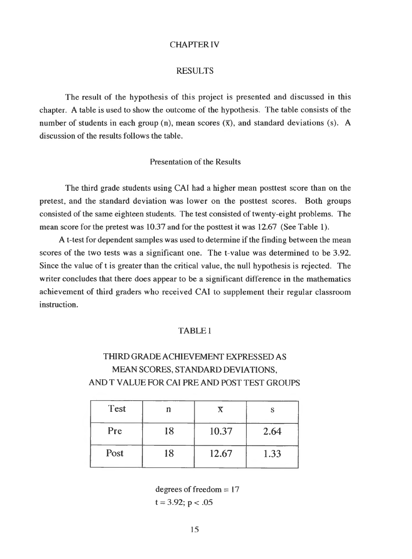#### CHAPTERIV

#### RESULTS

The result of the hypothesis of this project is presented and discussed in this chapter. A table is used to show the outcome of the hypothesis. The table consists of the number of students in each group (n), mean scores  $(\bar{x})$ , and standard deviations (s). A discussion of the results follows the table.

#### Presentation of the Results

The third grade students using CAI had a higher mean posttest score than on the pretest, and the standard deviation was lower on the posttest scores. Both groups consisted of the same eighteen students. The test consisted of twenty-eight problems. The mean score for the pretest was 10.37 and for the posttest it was 12.67 (See Table 1).

A t-test for dependent samples was used to determine if the finding between the mean scores of the two tests was a significant one. The t-value was determined to be 3.92. Since the value of t is greater than the critical value, the null hypothesis is rejected. The writer concludes that there does appear to be a significant difference in the mathematics achievement of third graders who received CAI to supplement their regular classroom instruction.

# TABLE <sup>1</sup>

# THIRD GRADEACHIEVEMENT EXPRESSED AS MEAN SCORES, STANDARD DEVIATIONS, AND T VALUE FOR CAI PRE AND POST TEST GROUPS

| <b>Test</b> | n  |       |      |
|-------------|----|-------|------|
| Pre         | 18 | 10.37 | 2.64 |
| Post        | 18 | 12.67 | 1.33 |

degrees of freedom  $= 17$  $t = 3.92$ ;  $p < .05$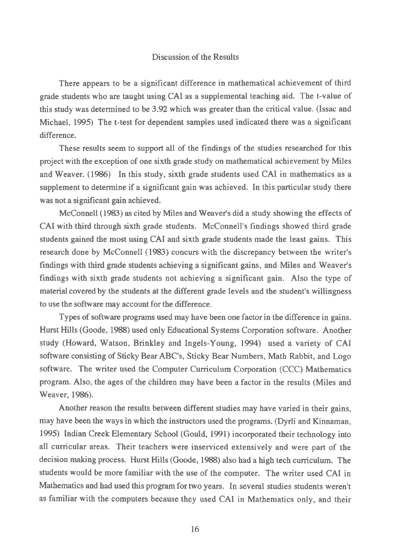#### Discussion of the Results

There appears to be a significant difference in mathematical achievement of third grade students who are taught using CAI as a supplemental teaching aid. The t-value of this study was determined to be 3.92 which was greater than the critical value. (Issac and Michael, 1995) The t-test for dependent samples used indicated there was a significant difference.

These results seem to support all of the findings of the studies researched for this project with the exception of one sixth grade study on mathematical achievement by Miles and Weaver. (1986) In this study, sixth grade students used CAI in mathematics as a supplement to determine if a significant gain was achieved. In this particular study there was not a significant gain achieved.

McConnell (1983) as cited by Miles and Weaver's did a study showing the effects of CAI with third through sixth grade students. McConnell's findings showed third grade students gained the most using CAI and sixth grade students made the least gains. This research done by McConnell (1983) concurs with the discrepancy between the writer's findings with third grade students achieving a significant gains, and Miles and Weaver's findings with sixth grade students not achieving a significant gain. Also the type of material covered by the students at the different grade levels and the student's willingness to use the software may account for the difference.

Types of software programs used may have been one factor in the difference in gains. Hurst Hills (Goode, 1988) used only Educational Systems Corporation software. Another study (Howard, Watson, Brinkley and Ingels-Young, 1994) used a variety of CAI software consisting of Sticky Bear ABC's, Sticky Bear Numbers, Math Rabbit, and Logo software. The writer used the Computer Curriculum Corporation (CCC) Mathematics program. Also, the ages of the children may have been a factor in the results (Miles and Weaver, 1986).

Another reason the results between different studies may have varied in their gains, may have been the ways in which the instructors used the programs. (Dyrli and Kinnaman, 1995) Indian Creek Elementary School (Gould, 1991) incorporated their technology into all curricular areas. Their teachers were inserviced extensively and were part of the decision making process. Hurst Hills (Goode, 1988) also had a high tech curriculum. The students would be more familiar with the use of the computer. The writer used CAI in Mathematics and had used this program fortwo years. In several studies students weren't as familiar with the computers because they used CAI in Mathematics only, and their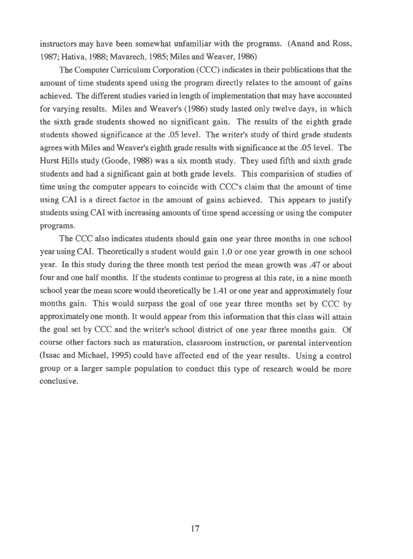instructors may have been somewhat unfamiliar with the programs. (Anand and Ross, 1987; Hativa, 1988; Mavarech, 1985; Miles and Weaver, 1986)

The Computer Curriculum Corporation (CCC) indicates in their publications that the amount of time students spend using the program directly relates to the amount of gains achieved. The different studies varied in length of implementation that may have accounted for varying results. Miles and Weaver's (1986) study lasted only twelve days, in which the sixth grade students showed no significant gain. The results of the eighth grade students showed significance at the .05 level. The writer's study of third grade students agrees with Miles and Weaver's eighth grade results with significance at the .05 level. The Hurst Hills study (Goode, 1988) was a six month study. They used fifth and sixth grade students and had a significant gain at both grade levels. This comparision of studies of time using the computer appears to coincide with CCC's claim that the amount of time using CAI is a direct factor in the amount of gains achieved. This appears to justify students using CAI with increasing amounts of time spend accessing or using the computer programs.

The CCC also indicates students should gain one year three months in one school year using CAI. Theoretically a student would gain 1.0 or one year growth in one school year. In this study during the three month test period the mean growth was .47 or about four and one half months. If the students continue to progress at this rate, in a nine month school year the mean score would theoretically be 1.41 or one year and approximately four months gain. This would surpass the goal of one year three months set by CCC by approximately one month. It would appear from this information that this class will attain the goal set by CCC and the writer's school district of one year three months gain. Of course other factors such as maturation, classroom instruction, or parental intervention (Isaac and Michael, 1995) could have affected end of the year results. Using a control group or a larger sample population to conduct this type of research would be more conclusive.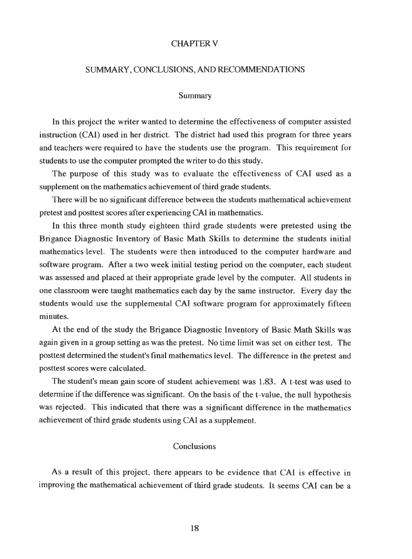#### CHAPTER V

#### SUMMARY, CONCLUSIONS, AND RECOMMENDATIONS

#### Summary

In this project the writer wanted to determine the effectiveness of computer assisted instruction (CAI) used in her district. The district had used this program for three years and teachers were required to have the students use the program. This requirement for students to use the computer prompted the writer to do this study.

The purpose of this study was to evaluate the effectiveness of CAI used as a supplement on the mathematics achievement of third grade students.

There will be no significant difference between the students mathematical achievement pretest and posttest scores after experiencing CAI in mathematics.

In this three month study eighteen third grade students were pretested using the Brigance Diagnostic Inventory of Basic Math Skills to determine the students initial mathematics level. The students were then introduced to the computer hardware and software program. After a two week initial testing period on the computer, each student was assessed and placed at their appropriate grade level by the computer. All students in one classroom were taught mathematics each day by the same instructor. Every day the students would use the supplemental CAI software program for approximately fifteen minutes.

At the end of the study the Brigance Diagnostic Inventory of Basic Math Skills was again given in a group setting as was the pretest. No time limit was set on either test. The posttest determined the student's final mathematics level. The difference in the pretest and posttest scores were calculated.

The student's mean gain score of student achievement was 1.83. A t-test was used to determine if the difference was significant. On the basis of the t-value, the null hypothesis was rejected. This indicated that there was a significant difference in the mathematics achievement of third grade students using CAI as a supplement.

# Conclusions

As a result of this project, there appears to be evidence that CAI is effective in improving the mathematical achievement of third grade students. It seems CAI can be a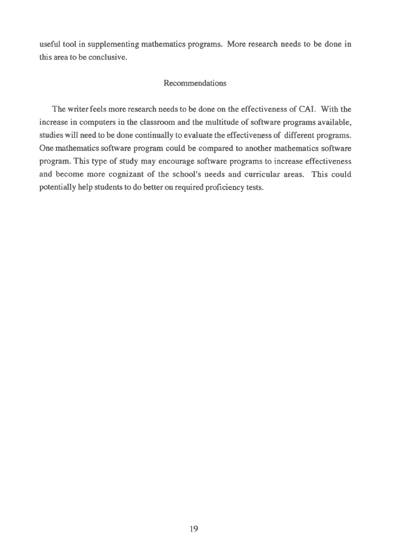useful tool in supplementing mathematics programs. More research needs to be done in this area to be conclusive.

## Recommendations

The writer feels more research needs to be done on the effectiveness of CAI. With the increase in computers in the classroom and the multitude of software programs available, studies will need to be done continually to evaluate the effectiveness of different programs. One mathematics software program could be compared to another mathematics software program. This type of study may encourage software programs to increase effectiveness and become more cognizant of the school's needs and curricular areas. This could potentially help students to do better on required proficiency tests.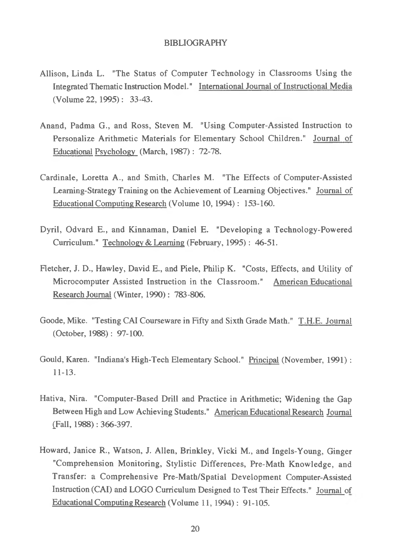#### BIBLIOGRAPHY

- Allison, Linda L. "The Status of Computer Technology in Classrooms Using the Integrated Thematic Instruction Model." International Journal of Instructional Media (Volume 22,1995) : 33-43.
- Anand, Padma G., and Ross, Steven M. "Using Computer-Assisted Instruction to Personalize Arithmetic Materials for Elementary School Children." Journal of Educational Psychology (March, 1987): 72-78.
- Cardinale, Loretta A., and Smith, Charles M. "The Effects of Computer-Assisted Learning-Strategy Training on the Achievement of Learning Objectives." Journal of Educational Computing Research (Volume 10,1994): 153-160.
- Dyril, Odvard E., and Kinnaman, Daniel E. "Developing a Technology-Powered Curriculum." Technology & Learning (February, 1995): 46-51.
- Fletcher, J. D., Hawley, David E., and Piele, Philip K. "Costs, Effects, and Utility of Microcomputer Assisted Instruction in the Classroom." American Educational Research Journal (Winter, 1990) : 783-806.
- Goode, Mike. "Testing CAI Courseware in Fifty and Sixth Grade Math." T.H.E. Journal (October, 1988): 97-100.
- Gould, Karen. "Indiana's High-Tech Elementary School." Principal (November, 1991): 11-13.
- Hativa, Nira. "Computer-Based Drill and Practice in Arithmetic; Widening the Gap Between High and Low Achieving Students." American Educational Research Journal (Fall, 1988): 366-397.
- Howard, Janice R., Watson, J. Allen, Brinkley, Vicki M., and Ingels-Young, Ginger "Comprehension Monitoring, Stylistic Differences, Pre-Math Knowledge, and Transfer: a Comprehensive Pre-Math/Spatial Development Computer-Assisted Instruction (CAI) and LOGO Curriculum Designed to Test Their Effects." Journal of EducationalComputing Research (Volume 11,1994): 91-105.